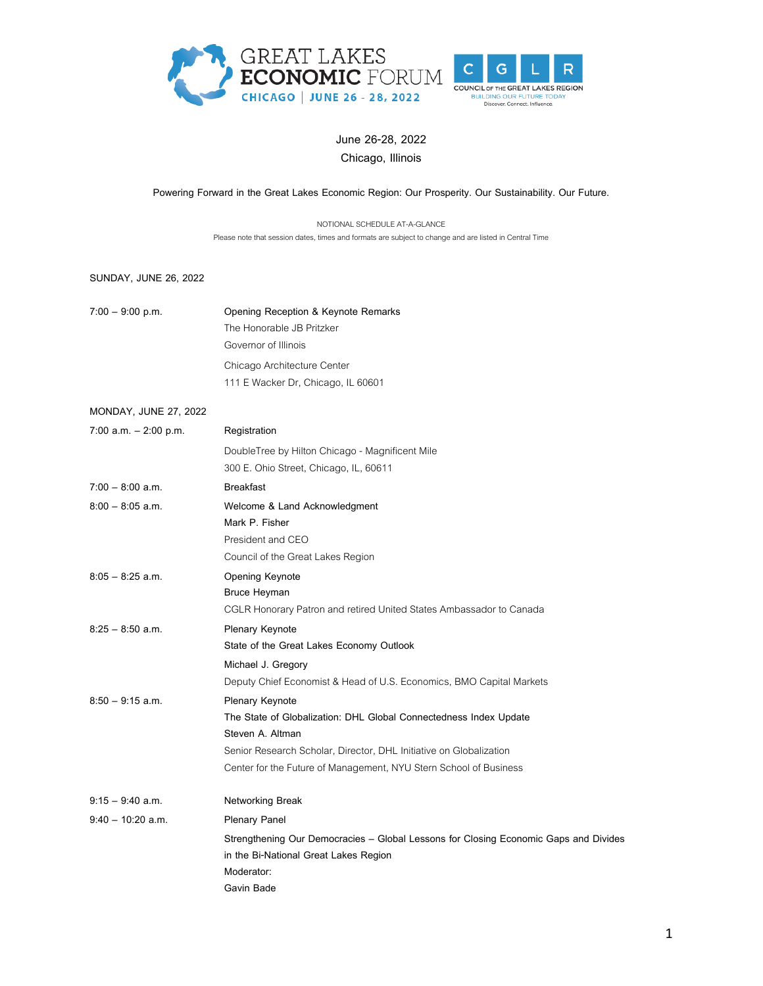



## **June 26-28, 2022 Chicago, Illinois**

## **Powering Forward in the Great Lakes Economic Region: Our Prosperity. Our Sustainability. Our Future.**

NOTIONAL SCHEDULE AT-A-GLANCE Please note that session dates, times and formats are subject to change and are listed in Central Time

## **SUNDAY, JUNE 26, 2022**

| $7:00 - 9:00$ p.m.           | Opening Reception & Keynote Remarks                                                  |
|------------------------------|--------------------------------------------------------------------------------------|
|                              | The Honorable JB Pritzker                                                            |
|                              | Governor of Illinois                                                                 |
|                              | Chicago Architecture Center                                                          |
|                              | 111 E Wacker Dr, Chicago, IL 60601                                                   |
| <b>MONDAY, JUNE 27, 2022</b> |                                                                                      |
| $7:00$ a.m. $-2:00$ p.m.     | Registration                                                                         |
|                              | DoubleTree by Hilton Chicago - Magnificent Mile                                      |
|                              | 300 E. Ohio Street, Chicago, IL, 60611                                               |
| $7:00 - 8:00$ a.m.           | <b>Breakfast</b>                                                                     |
| $8:00 - 8:05$ a.m.           | Welcome & Land Acknowledgment                                                        |
|                              | Mark P. Fisher                                                                       |
|                              | President and CEO                                                                    |
|                              | Council of the Great Lakes Region                                                    |
| $8:05 - 8:25$ a.m.           | Opening Keynote                                                                      |
|                              | <b>Bruce Heyman</b>                                                                  |
|                              | CGLR Honorary Patron and retired United States Ambassador to Canada                  |
| $8:25 - 8:50$ a.m.           | Plenary Keynote                                                                      |
|                              | State of the Great Lakes Economy Outlook                                             |
|                              | Michael J. Gregory                                                                   |
|                              | Deputy Chief Economist & Head of U.S. Economics, BMO Capital Markets                 |
| $8:50 - 9:15$ a.m.           | Plenary Keynote                                                                      |
|                              | The State of Globalization: DHL Global Connectedness Index Update                    |
|                              | Steven A. Altman                                                                     |
|                              | Senior Research Scholar, Director, DHL Initiative on Globalization                   |
|                              | Center for the Future of Management, NYU Stern School of Business                    |
| $9:15 - 9:40$ a.m.           | <b>Networking Break</b>                                                              |
| $9:40 - 10:20$ a.m.          | <b>Plenary Panel</b>                                                                 |
|                              | Strengthening Our Democracies - Global Lessons for Closing Economic Gaps and Divides |
|                              | in the Bi-National Great Lakes Region                                                |
|                              | Moderator:                                                                           |
|                              | Gavin Bade                                                                           |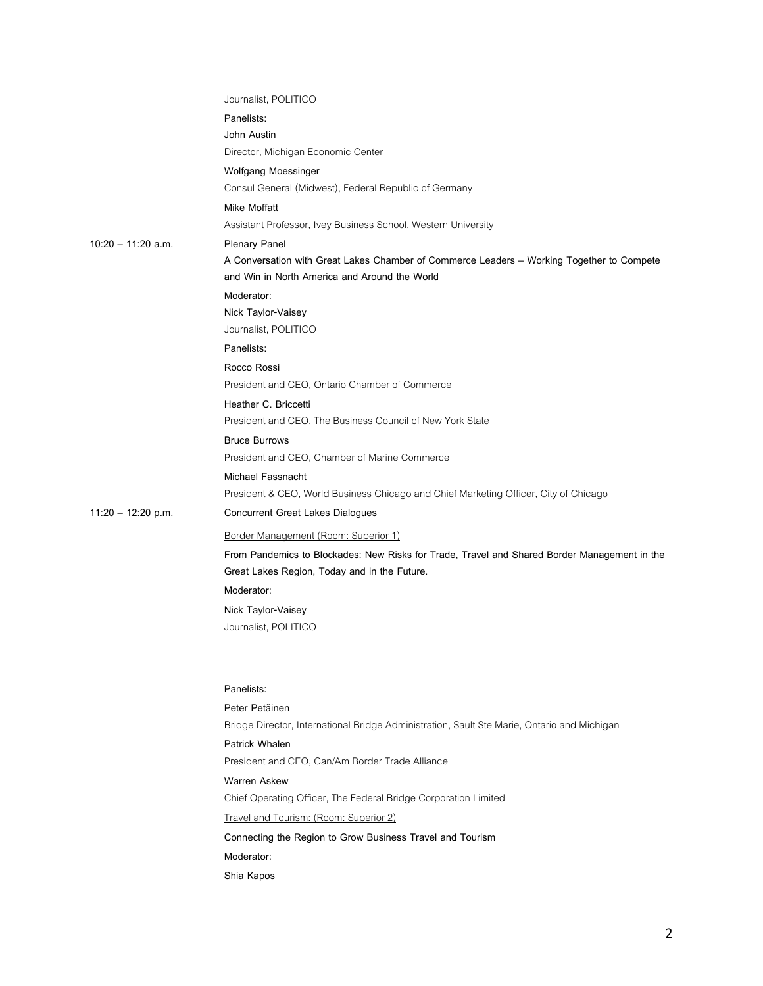|                      | Journalist, POLITICO                                                                                                                         |
|----------------------|----------------------------------------------------------------------------------------------------------------------------------------------|
|                      | Panelists:                                                                                                                                   |
|                      | John Austin                                                                                                                                  |
|                      | Director, Michigan Economic Center                                                                                                           |
|                      | Wolfgang Moessinger                                                                                                                          |
|                      | Consul General (Midwest), Federal Republic of Germany                                                                                        |
|                      | Mike Moffatt                                                                                                                                 |
|                      | Assistant Professor, Ivey Business School, Western University                                                                                |
| $10:20 - 11:20$ a.m. | <b>Plenary Panel</b>                                                                                                                         |
|                      | A Conversation with Great Lakes Chamber of Commerce Leaders - Working Together to Compete                                                    |
|                      | and Win in North America and Around the World                                                                                                |
|                      | Moderator:                                                                                                                                   |
|                      | Nick Taylor-Vaisey                                                                                                                           |
|                      | Journalist, POLITICO                                                                                                                         |
|                      | Panelists:                                                                                                                                   |
|                      | Rocco Rossi                                                                                                                                  |
|                      | President and CEO, Ontario Chamber of Commerce                                                                                               |
|                      | Heather C. Briccetti                                                                                                                         |
|                      | President and CEO, The Business Council of New York State                                                                                    |
|                      | <b>Bruce Burrows</b>                                                                                                                         |
|                      | President and CEO, Chamber of Marine Commerce                                                                                                |
|                      | Michael Fassnacht                                                                                                                            |
|                      | President & CEO, World Business Chicago and Chief Marketing Officer, City of Chicago                                                         |
| $11:20 - 12:20$ p.m. | <b>Concurrent Great Lakes Dialogues</b>                                                                                                      |
|                      | Border Management (Room: Superior 1)                                                                                                         |
|                      | From Pandemics to Blockades: New Risks for Trade, Travel and Shared Border Management in the<br>Great Lakes Region, Today and in the Future. |
|                      | Moderator:                                                                                                                                   |
|                      |                                                                                                                                              |
|                      | Nick Taylor-Vaisey<br>Journalist, POLITICO                                                                                                   |
|                      |                                                                                                                                              |
|                      | Panelists:                                                                                                                                   |
|                      | Peter Petäinen                                                                                                                               |
|                      | Bridge Director, International Bridge Administration, Sault Ste Marie, Ontario and Michigan                                                  |
|                      | Patrick Whalen                                                                                                                               |
|                      | President and CEO. Can/Am Border Trade Alliance                                                                                              |
|                      | <b>Warren Askew</b>                                                                                                                          |
|                      | Chief Operating Officer, The Federal Bridge Corporation Limited                                                                              |
|                      | Travel and Tourism: (Room: Superior 2)                                                                                                       |
|                      | Connecting the Region to Grow Business Travel and Tourism                                                                                    |
|                      | Moderator:                                                                                                                                   |
|                      | Shia Kapos                                                                                                                                   |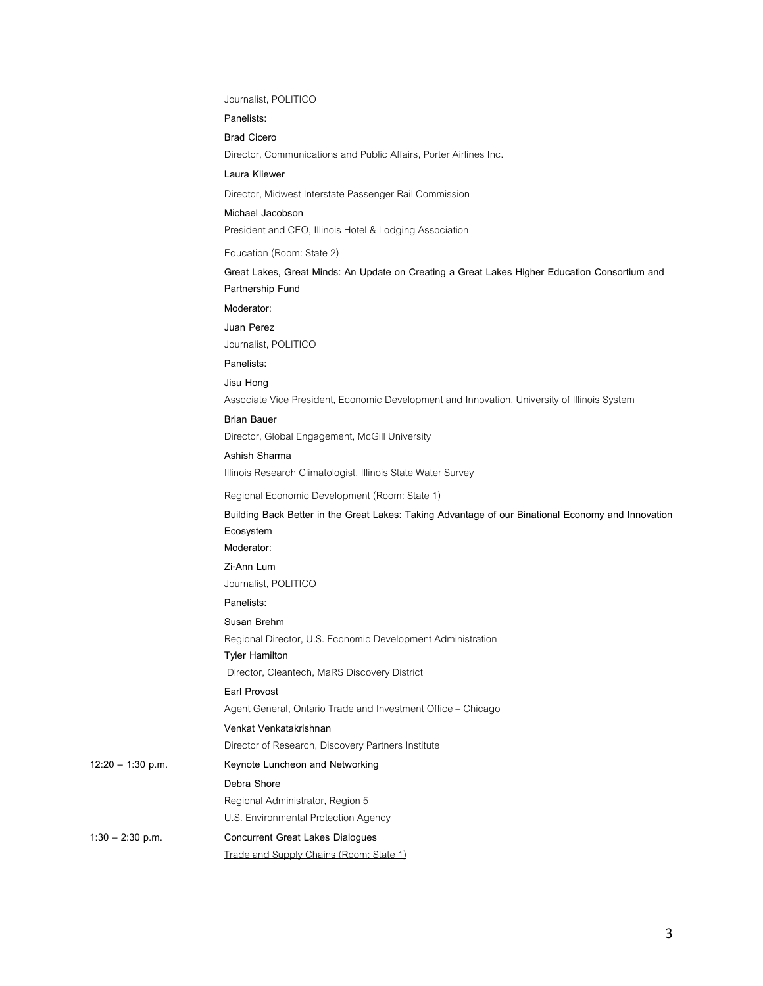#### Journalist, POLITICO

**Panelists:**

**Brad Cicero**

Director, Communications and Public Affairs, Porter Airlines Inc.

**Laura Kliewer**

Director, Midwest Interstate Passenger Rail Commission

## **Michael Jacobson**

President and CEO, Illinois Hotel & Lodging Association

#### Education (Room: State 2)

**Great Lakes, Great Minds: An Update on Creating a Great Lakes Higher Education Consortium and Partnership Fund**

#### **Moderator:**

#### **Juan Perez**

Journalist, POLITICO

## **Panelists:**

**Jisu Hong**

Associate Vice President, Economic Development and Innovation, University of Illinois System

# **Brian Bauer**

Director, Global Engagement, McGill University

## **Ashish Sharma**

Illinois Research Climatologist, Illinois State Water Survey

#### Regional Economic Development (Room: State 1)

## **Building Back Better in the Great Lakes: Taking Advantage of our Binational Economy and Innovation Ecosystem Moderator:**

**Zi-Ann Lum**

Journalist, POLITICO

## **Panelists:**

**Susan Brehm**

Regional Director, U.S. Economic Development Administration

**Tyler Hamilton** 

Director, Cleantech, MaRS Discovery District

## **Earl Provost**

Agent General, Ontario Trade and Investment Office – Chicago

## **Venkat Venkatakrishnan**

Director of Research, Discovery Partners Institute

## **12:20 – 1:30 p.m. Keynote Luncheon and Networking**

**Debra Shore**

Regional Administrator, Region 5

## U.S. Environmental Protection Agency

**1:30 – 2:30 p.m. Concurrent Great Lakes Dialogues**

## Trade and Supply Chains (Room: State 1)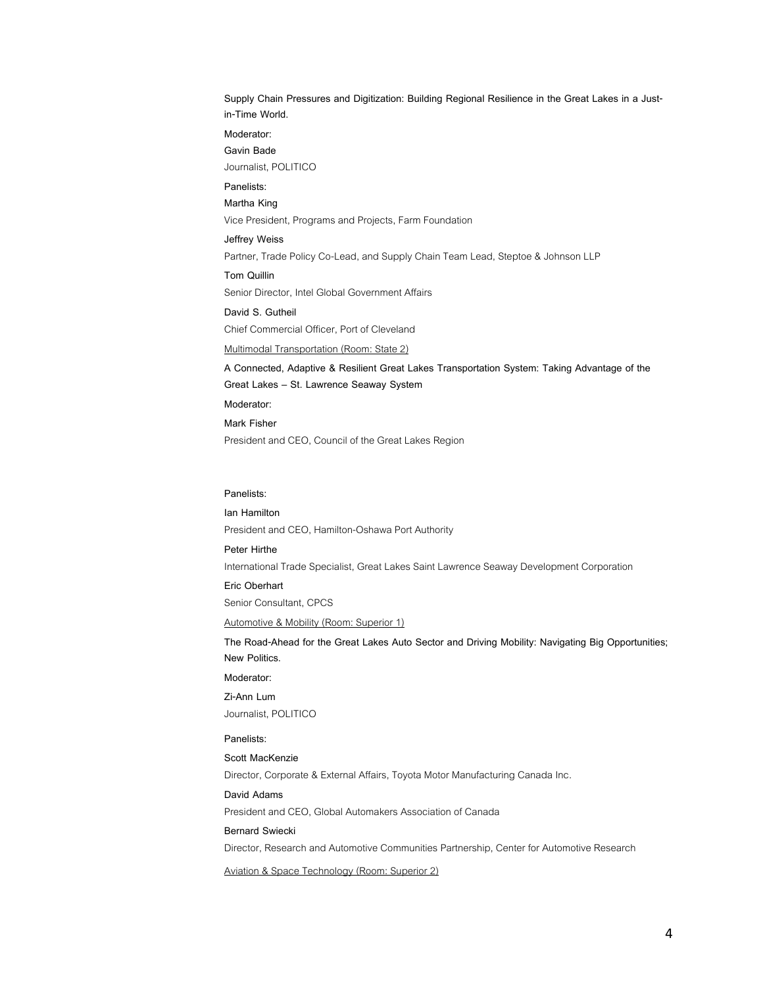**Supply Chain Pressures and Digitization: Building Regional Resilience in the Great Lakes in a Justin-Time World.**

**Moderator:**

**Gavin Bade**

Journalist, POLITICO

## **Panelists:**

**Martha King**

Vice President, Programs and Projects, Farm Foundation

**Jeffrey Weiss**

Partner, Trade Policy Co-Lead, and Supply Chain Team Lead, Steptoe & Johnson LLP

**Tom Quillin** Senior Director, Intel Global Government Affairs

**David S. Gutheil** Chief Commercial Officer, Port of Cleveland

Multimodal Transportation (Room: State 2)

**A Connected, Adaptive & Resilient Great Lakes Transportation System: Taking Advantage of the Great Lakes – St. Lawrence Seaway System**

**Moderator:**

**Mark Fisher**

President and CEO, Council of the Great Lakes Region

## **Panelists:**

#### **Ian Hamilton**

President and CEO, Hamilton-Oshawa Port Authority

**Peter Hirthe**

International Trade Specialist, Great Lakes Saint Lawrence Seaway Development Corporation

### **Eric Oberhart**

Senior Consultant, CPCS

Automotive & Mobility (Room: Superior 1)

**The Road-Ahead for the Great Lakes Auto Sector and Driving Mobility: Navigating Big Opportunities; New Politics.**

## **Moderator:**

#### **Zi-Ann Lum**

Journalist, POLITICO

#### **Panelists:**

## **Scott MacKenzie**

Director, Corporate & External Affairs, Toyota Motor Manufacturing Canada Inc.

#### **David Adams**

President and CEO, Global Automakers Association of Canada

#### **Bernard Swiecki**

Director, Research and Automotive Communities Partnership, Center for Automotive Research

Aviation & Space Technology (Room: Superior 2)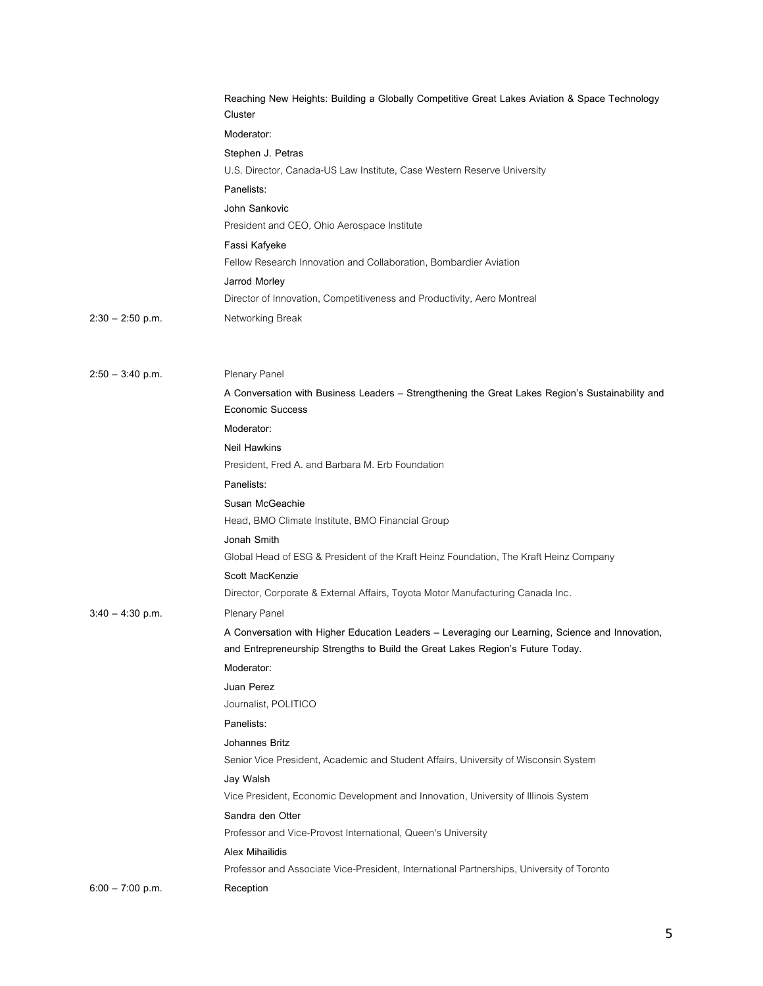|                    | Reaching New Heights: Building a Globally Competitive Great Lakes Aviation & Space Technology<br>Cluster                                                                          |
|--------------------|-----------------------------------------------------------------------------------------------------------------------------------------------------------------------------------|
|                    | Moderator:                                                                                                                                                                        |
|                    | Stephen J. Petras                                                                                                                                                                 |
|                    | U.S. Director, Canada-US Law Institute, Case Western Reserve University                                                                                                           |
|                    | Panelists:                                                                                                                                                                        |
|                    | John Sankovic                                                                                                                                                                     |
|                    | President and CEO, Ohio Aerospace Institute                                                                                                                                       |
|                    | Fassi Kafyeke                                                                                                                                                                     |
|                    | Fellow Research Innovation and Collaboration, Bombardier Aviation                                                                                                                 |
|                    | Jarrod Morley                                                                                                                                                                     |
|                    | Director of Innovation, Competitiveness and Productivity, Aero Montreal                                                                                                           |
| $2:30 - 2:50$ p.m. | Networking Break                                                                                                                                                                  |
| $2:50 - 3:40$ p.m. | Plenary Panel                                                                                                                                                                     |
|                    | A Conversation with Business Leaders - Strengthening the Great Lakes Region's Sustainability and<br><b>Economic Success</b>                                                       |
|                    | Moderator:                                                                                                                                                                        |
|                    | <b>Neil Hawkins</b>                                                                                                                                                               |
|                    | President, Fred A. and Barbara M. Erb Foundation                                                                                                                                  |
|                    | Panelists:                                                                                                                                                                        |
|                    | Susan McGeachie                                                                                                                                                                   |
|                    | Head, BMO Climate Institute, BMO Financial Group                                                                                                                                  |
|                    | Jonah Smith                                                                                                                                                                       |
|                    | Global Head of ESG & President of the Kraft Heinz Foundation, The Kraft Heinz Company                                                                                             |
|                    | Scott MacKenzie                                                                                                                                                                   |
|                    | Director, Corporate & External Affairs, Toyota Motor Manufacturing Canada Inc.                                                                                                    |
| $3:40 - 4:30$ p.m. | Plenary Panel                                                                                                                                                                     |
|                    | A Conversation with Higher Education Leaders - Leveraging our Learning, Science and Innovation,<br>and Entrepreneurship Strengths to Build the Great Lakes Region's Future Today. |
|                    | Moderator:                                                                                                                                                                        |
|                    | Juan Perez<br>Journalist, POLITICO                                                                                                                                                |
|                    | Panelists:                                                                                                                                                                        |
|                    | Johannes Britz                                                                                                                                                                    |
|                    | Senior Vice President, Academic and Student Affairs, University of Wisconsin System                                                                                               |
|                    | Jay Walsh                                                                                                                                                                         |
|                    | Vice President, Economic Development and Innovation, University of Illinois System                                                                                                |
|                    | Sandra den Otter                                                                                                                                                                  |
|                    | Professor and Vice-Provost International, Queen's University                                                                                                                      |
|                    | <b>Alex Mihailidis</b>                                                                                                                                                            |
|                    | Professor and Associate Vice-President, International Partnerships, University of Toronto                                                                                         |
| $6:00 - 7:00$ p.m. | Reception                                                                                                                                                                         |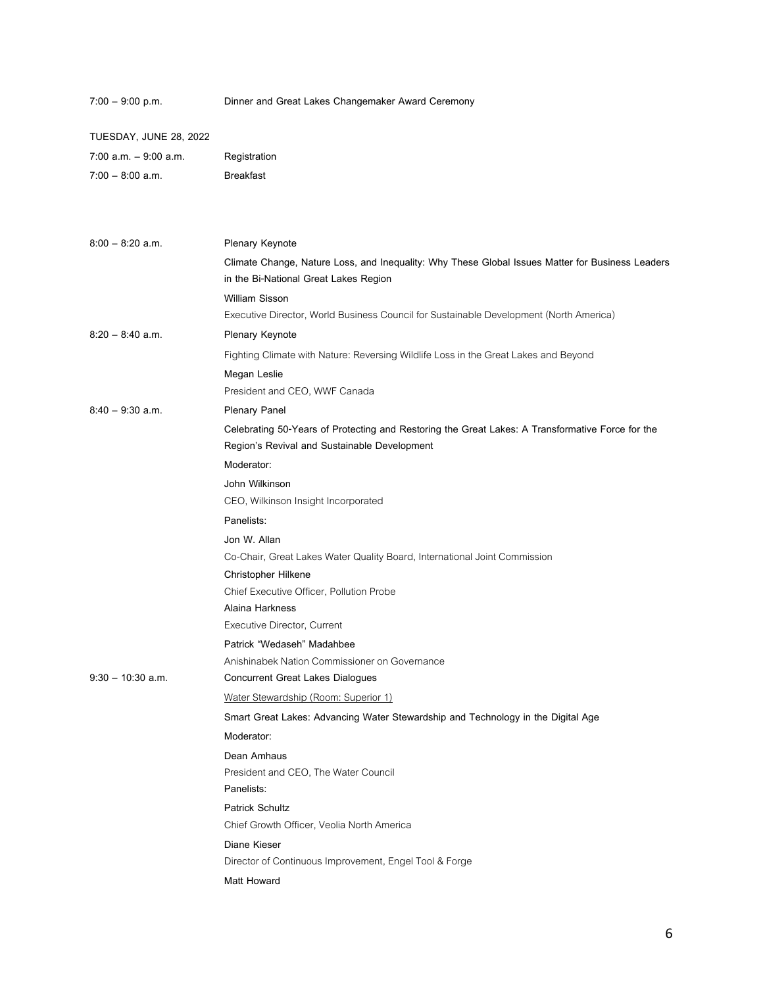| $7:00 - 9:00$ p.m.     | Dinner and Great Lakes Changemaker Award Ceremony                                                                                         |
|------------------------|-------------------------------------------------------------------------------------------------------------------------------------------|
| TUESDAY, JUNE 28, 2022 |                                                                                                                                           |
| 7:00 a.m. - 9:00 a.m.  | Registration                                                                                                                              |
| $7:00 - 8:00$ a.m.     | <b>Breakfast</b>                                                                                                                          |
|                        |                                                                                                                                           |
| $8:00 - 8:20$ a.m.     | Plenary Keynote                                                                                                                           |
|                        | Climate Change, Nature Loss, and Inequality: Why These Global Issues Matter for Business Leaders<br>in the Bi-National Great Lakes Region |
|                        | <b>William Sisson</b>                                                                                                                     |
|                        | Executive Director, World Business Council for Sustainable Development (North America)                                                    |
| $8:20 - 8:40$ a.m.     | Plenary Keynote                                                                                                                           |
|                        | Fighting Climate with Nature: Reversing Wildlife Loss in the Great Lakes and Beyond                                                       |
|                        | Megan Leslie                                                                                                                              |
|                        | President and CEO, WWF Canada                                                                                                             |
| $8:40 - 9:30$ a.m.     | <b>Plenary Panel</b>                                                                                                                      |
|                        | Celebrating 50-Years of Protecting and Restoring the Great Lakes: A Transformative Force for the                                          |
|                        | Region's Revival and Sustainable Development                                                                                              |
|                        | Moderator:                                                                                                                                |
|                        | John Wilkinson                                                                                                                            |
|                        | CEO, Wilkinson Insight Incorporated                                                                                                       |
|                        | Panelists:                                                                                                                                |
|                        | Jon W. Allan                                                                                                                              |
|                        | Co-Chair, Great Lakes Water Quality Board, International Joint Commission                                                                 |
|                        | Christopher Hilkene                                                                                                                       |
|                        | Chief Executive Officer, Pollution Probe                                                                                                  |
|                        | Alaina Harkness                                                                                                                           |
|                        | Executive Director, Current                                                                                                               |
|                        | Patrick "Wedaseh" Madahbee<br>Anishinabek Nation Commissioner on Governance                                                               |
| $9:30 - 10:30$ a.m.    | <b>Concurrent Great Lakes Dialogues</b>                                                                                                   |
|                        | Water Stewardship (Room: Superior 1)                                                                                                      |
|                        | Smart Great Lakes: Advancing Water Stewardship and Technology in the Digital Age                                                          |
|                        | Moderator:                                                                                                                                |
|                        | Dean Amhaus                                                                                                                               |
|                        | President and CEO, The Water Council                                                                                                      |
|                        | Panelists:                                                                                                                                |
|                        | <b>Patrick Schultz</b>                                                                                                                    |
|                        | Chief Growth Officer, Veolia North America                                                                                                |
|                        | Diane Kieser                                                                                                                              |
|                        | Director of Continuous Improvement, Engel Tool & Forge                                                                                    |
|                        | Matt Howard                                                                                                                               |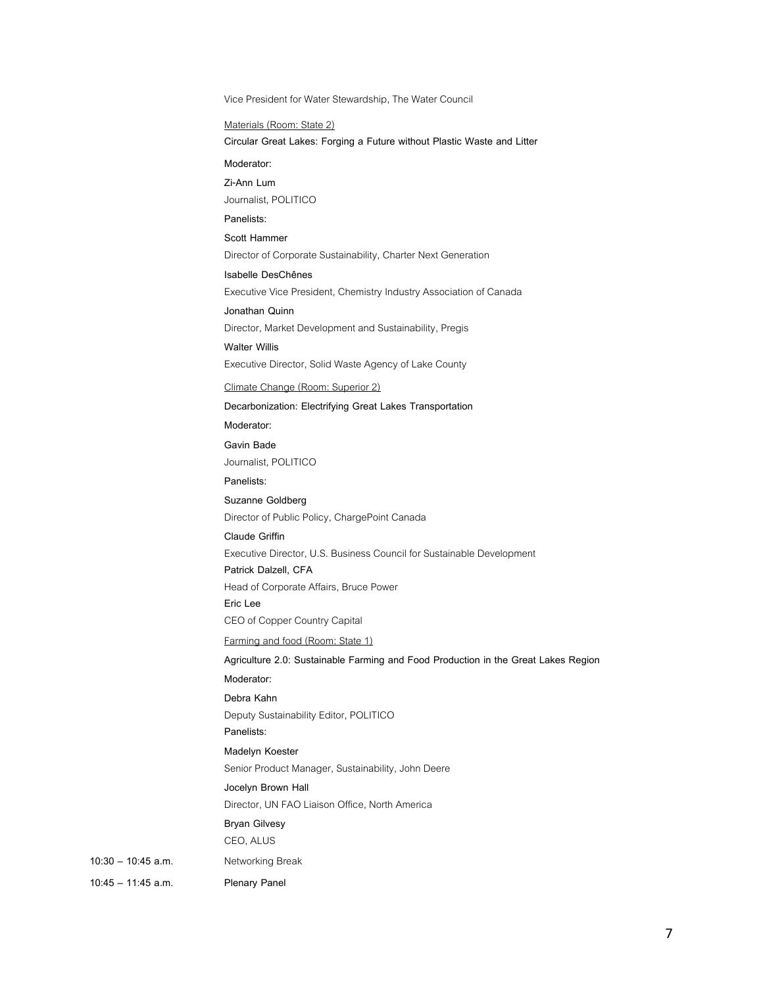Vice President for Water Stewardship, The Water Council

Materials (Room: State 2)

**Circular Great Lakes: Forging a Future without Plastic Waste and Litter**

**Moderator:**

**Zi-Ann Lum**

Journalist, POLITICO

**Panelists:**

**Scott Hammer**

Director of Corporate Sustainability, Charter Next Generation

**Isabelle DesChênes** Executive Vice President, Chemistry Industry Association of Canada

**Jonathan Quinn** Director, Market Development and Sustainability, Pregis

Executive Director, Solid Waste Agency of Lake County

Climate Change (Room: Superior 2)

**Decarbonization: Electrifying Great Lakes Transportation**

**Moderator:**

**Walter Willis**

**Gavin Bade** Journalist, POLITICO

**Panelists:**

**Suzanne Goldberg** Director of Public Policy, ChargePoint Canada

**Claude Griffin**

Executive Director, U.S. Business Council for Sustainable Development

**Patrick Dalzell, CFA** 

Head of Corporate Affairs, Bruce Power

**Eric Lee** 

CEO of Copper Country Capital

Farming and food (Room: State 1)

**Agriculture 2.0: Sustainable Farming and Food Production in the Great Lakes Region**

**Moderator:**

**Debra Kahn**

Deputy Sustainability Editor, POLITICO

**Panelists:**

**Madelyn Koester**

Senior Product Manager, Sustainability, John Deere

**Jocelyn Brown Hall**

Director, UN FAO Liaison Office, North America

**Bryan Gilvesy**

CEO, ALUS

**10:30 – 10:45 a.m.** Networking Break

**10:45 – 11:45 a.m. Plenary Panel**